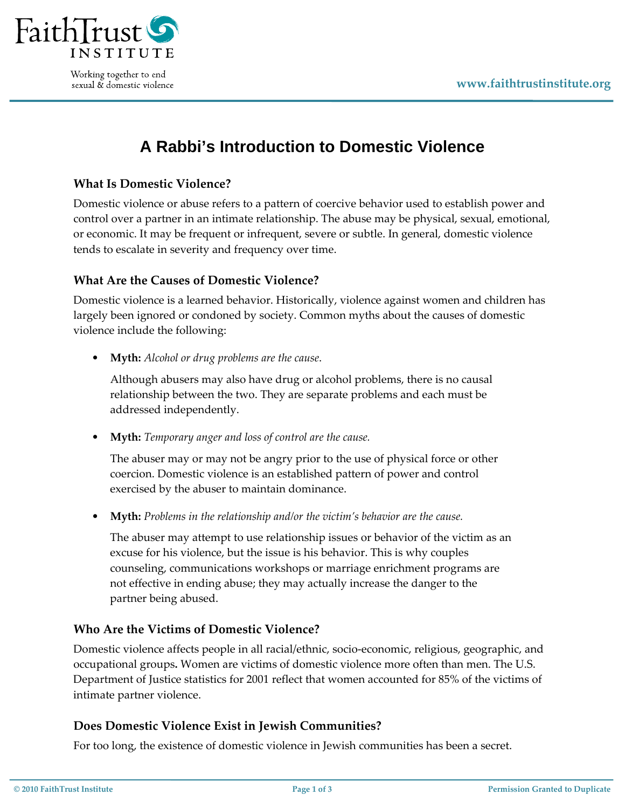

Working together to end sexual & domestic violence

# **A Rabbi's Introduction to Domestic Violence**

## **What Is Domestic Violence?**

Domestic violence or abuse refers to a pattern of coercive behavior used to establish power and control over a partner in an intimate relationship. The abuse may be physical, sexual, emotional, or economic. It may be frequent or infrequent, severe or subtle. In general, domestic violence tends to escalate in severity and frequency over time.

## **What Are the Causes of Domestic Violence?**

Domestic violence is a learned behavior. Historically, violence against women and children has largely been ignored or condoned by society. Common myths about the causes of domestic violence include the following:

• **Myth:** *Alcohol or drug problems are the cause*.

Although abusers may also have drug or alcohol problems, there is no causal relationship between the two. They are separate problems and each must be addressed independently.

• **Myth:** *Temporary anger and loss of control are the cause.*

The abuser may or may not be angry prior to the use of physical force or other coercion. Domestic violence is an established pattern of power and control exercised by the abuser to maintain dominance.

• **Myth:** *Problems in the relationship and/or the victim's behavior are the cause.*

The abuser may attempt to use relationship issues or behavior of the victim as an excuse for his violence, but the issue is his behavior. This is why couples counseling, communications workshops or marriage enrichment programs are not effective in ending abuse; they may actually increase the danger to the partner being abused.

## **Who Are the Victims of Domestic Violence?**

Domestic violence affects people in all racial/ethnic, socio‐economic, religious, geographic, and occupational groups**.** Women are victims of domestic violence more often than men. The U.S. Department of Justice statistics for 2001 reflect that women accounted for 85% of the victims of intimate partner violence.

#### **Does Domestic Violence Exist in Jewish Communities?**

For too long, the existence of domestic violence in Jewish communities has been a secret.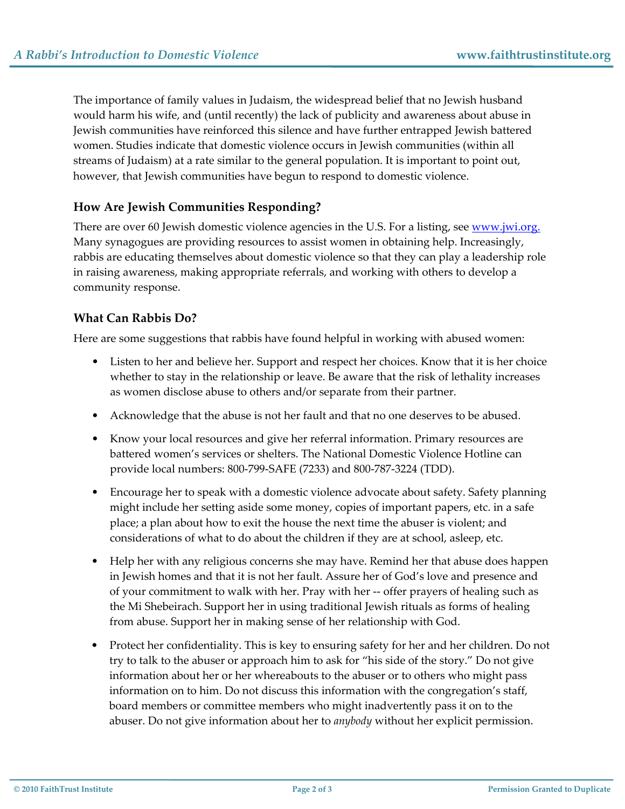The importance of family values in Judaism, the widespread belief that no Jewish husband would harm his wife, and (until recently) the lack of publicity and awareness about abuse in Jewish communities have reinforced this silence and have further entrapped Jewish battered women. Studies indicate that domestic violence occurs in Jewish communities (within all streams of Judaism) at a rate similar to the general population. It is important to point out, however, that Jewish communities have begun to respond to domestic violence.

# **How Are Jewish Communities Responding?**

There are over 60 Jewish domestic violence agencies in the U.S. For a listing, see [www.jwi.org.](http://www.jwi.org/) Many synagogues are providing resources to assist women in obtaining help. Increasingly, rabbis are educating themselves about domestic violence so that they can play a leadership role in raising awareness, making appropriate referrals, and working with others to develop a community response.

# **What Can Rabbis Do?**

Here are some suggestions that rabbis have found helpful in working with abused women:

- Listen to her and believe her. Support and respect her choices. Know that it is her choice whether to stay in the relationship or leave. Be aware that the risk of lethality increases as women disclose abuse to others and/or separate from their partner.
- Acknowledge that the abuse is not her fault and that no one deserves to be abused.
- Know your local resources and give her referral information. Primary resources are battered women's services or shelters. The National Domestic Violence Hotline can provide local numbers: 800‐799‐SAFE (7233) and 800‐787‐3224 (TDD).
- Encourage her to speak with a domestic violence advocate about safety. Safety planning might include her setting aside some money, copies of important papers, etc. in a safe place; a plan about how to exit the house the next time the abuser is violent; and considerations of what to do about the children if they are at school, asleep, etc.
- Help her with any religious concerns she may have. Remind her that abuse does happen in Jewish homes and that it is not her fault. Assure her of God's love and presence and of your commitment to walk with her. Pray with her ‐‐ offer prayers of healing such as the Mi Shebeirach. Support her in using traditional Jewish rituals as forms of healing from abuse. Support her in making sense of her relationship with God.
- Protect her confidentiality. This is key to ensuring safety for her and her children. Do not try to talk to the abuser or approach him to ask for "his side of the story." Do not give information about her or her whereabouts to the abuser or to others who might pass information on to him. Do not discuss this information with the congregation's staff, board members or committee members who might inadvertently pass it on to the abuser. Do not give information about her to *anybody* without her explicit permission.